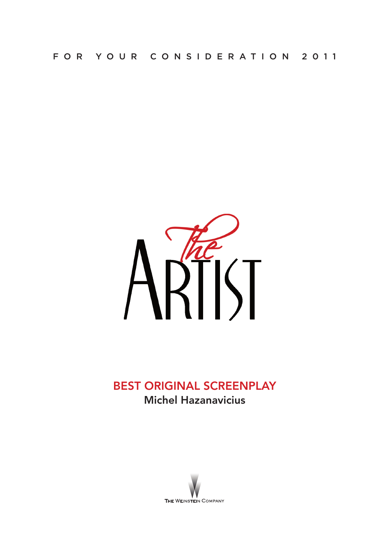

# BEST ORIGINAL SCREENPLAY Michel Hazanavicius

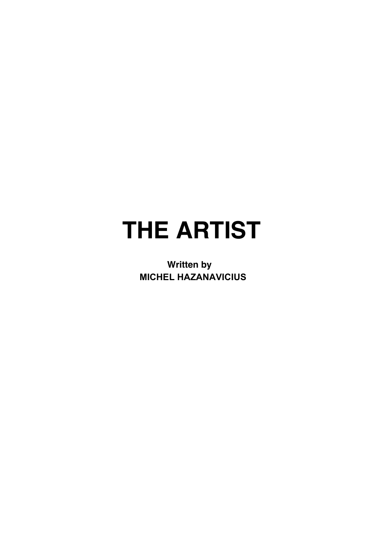# **THE ARTIST**

**Written by MICHEL HAZANAVICIUS**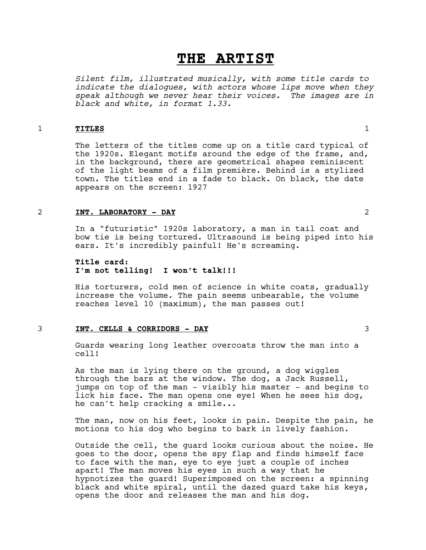# **THE ARTIST**

*Silent film, illustrated musically, with some title cards to indicate the dialogues, with actors whose lips move when they speak although we never hear their voices. The images are in black and white, in format 1.33.*

# 1 **TITLES** 1

The letters of the titles come up on a title card typical of the 1920s. Elegant motifs around the edge of the frame, and, in the background, there are geometrical shapes reminiscent of the light beams of a film première. Behind is a stylized town. The titles end in a fade to black. On black, the date appears on the screen: 1927

# 2 **INT. LABORATORY - DAY** 2

In a "futuristic" 1920s laboratory, a man in tail coat and bow tie is being tortured. Ultrasound is being piped into his ears. It's incredibly painful! He's screaming.

# **Title card: I'm not telling! I won't talk!!!**

His torturers, cold men of science in white coats, gradually increase the volume. The pain seems unbearable, the volume reaches level 10 (maximum), the man passes out!

# 3 **INT. CELLS & CORRIDORS - DAY** 3

Guards wearing long leather overcoats throw the man into a cell!

As the man is lying there on the ground, a dog wiggles through the bars at the window. The dog, a Jack Russell, jumps on top of the man - visibly his master - and begins to lick his face. The man opens one eye! When he sees his dog, he can't help cracking a smile...

The man, now on his feet, looks in pain. Despite the pain, he motions to his dog who begins to bark in lively fashion.

Outside the cell, the guard looks curious about the noise. He goes to the door, opens the spy flap and finds himself face to face with the man, eye to eye just a couple of inches apart! The man moves his eyes in such a way that he hypnotizes the guard! Superimposed on the screen: a spinning black and white spiral, until the dazed guard take his keys, opens the door and releases the man and his dog.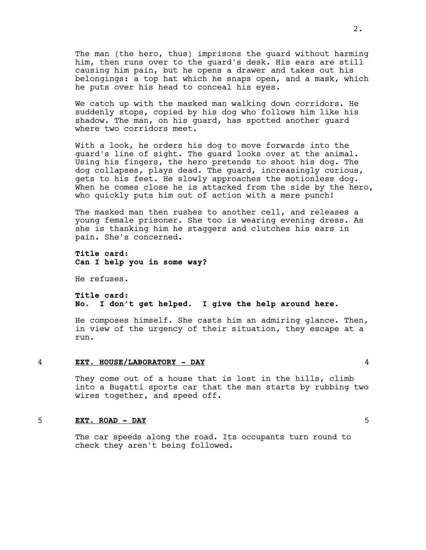The man (the hero, thus) imprisons the guard without harming him, then runs over to the guard's desk. His ears are still causing him pain, but he opens a drawer and takes out his belongings: a top hat which he snaps open, and a mask, which he puts over his head to conceal his eyes.

We catch up with the masked man walking down corridors. He suddenly stops, copied by his dog who follows him like his shadow. The man, on his guard, has spotted another guard where two corridors meet.

With a look, he orders his dog to move forwards into the guard's line of sight. The guard looks over at the animal. Using his fingers, the hero pretends to shoot his dog. The dog collapses, plays dead. The guard, increasingly curious, gets to his feet. He slowly approaches the motionless dog. When he comes close he is attacked from the side by the hero, who quickly puts him out of action with a mere punch!

The masked man then rushes to another cell, and releases a young female prisoner. She too is wearing evening dress. As she is thanking him he staggers and clutches his ears in pain. She's concerned.

**Title card: Can I help you in some way?**

He refuses.

# **Title card: No. I don't get helped. I give the help around here.**

He composes himself. She casts him an admiring glance. Then, in view of the urgency of their situation, they escape at a run.

4 **EXT. HOUSE/LABORATORY - DAY** 4

They come out of a house that is lost in the hills, climb into a Bugatti sports car that the man starts by rubbing two wires together, and speed off.

# 5 **EXT. ROAD - DAY** 5

The car speeds along the road. Its occupants turn round to check they aren't being followed.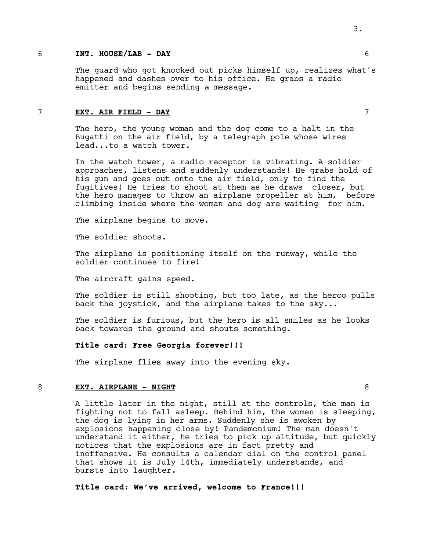#### 6 **INT. HOUSE/LAB - DAY** 6

The guard who got knocked out picks himself up, realizes what's happened and dashes over to his office. He grabs a radio emitter and begins sending a message.

#### 7 **EXT. AIR FIELD - DAY** 7

The hero, the young woman and the dog come to a halt in the Bugatti on the air field, by a telegraph pole whose wires lead...to a watch tower.

In the watch tower, a radio receptor is vibrating. A soldier approaches, listens and suddenly understands! He grabs hold of his gun and goes out onto the air field, only to find the fugitives! He tries to shoot at them as he draws closer, but the hero manages to throw an airplane propeller at him, before climbing inside where the woman and dog are waiting for him.

The airplane begins to move.

The soldier shoots.

The airplane is positioning itself on the runway, while the soldier continues to fire!

The aircraft gains speed.

The soldier is still shooting, but too late, as the heroo pulls back the joystick, and the airplane takes to the sky...

The soldier is furious, but the hero is all smiles as he looks back towards the ground and shouts something.

## **Title card: Free Georgia forever!!!**

The airplane flies away into the evening sky.

#### 8 **EXT. AIRPLANE - NIGHT** 8

A little later in the night, still at the controls, the man is fighting not to fall asleep. Behind him, the women is sleeping, the dog is lying in her arms. Suddenly she is awoken by explosions happening close by! Pandemonium! The man doesn't understand it either, he tries to pick up altitude, but quickly notices that the explosions are in fact pretty and inoffensive. He consults a calendar dial on the control panel that shows it is July 14th, immediately understands, and bursts into laughter.

# **Title card: We've arrived, welcome to France!!!**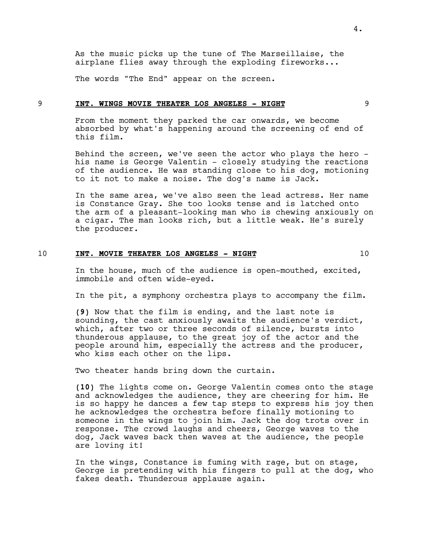As the music picks up the tune of The Marseillaise, the airplane flies away through the exploding fireworks...

The words "The End" appear on the screen.

#### 9 **INT. WINGS MOVIE THEATER LOS ANGELES - NIGHT** 9

From the moment they parked the car onwards, we become absorbed by what's happening around the screening of end of this film.

Behind the screen, we've seen the actor who plays the hero his name is George Valentin - closely studying the reactions of the audience. He was standing close to his dog, motioning to it not to make a noise. The dog's name is Jack.

In the same area, we've also seen the lead actress. Her name is Constance Gray. She too looks tense and is latched onto the arm of a pleasant-looking man who is chewing anxiously on a cigar. The man looks rich, but a little weak. He's surely the producer.

# 10 **INT. MOVIE THEATER LOS ANGELES - NIGHT** 10

In the house, much of the audience is open-mouthed, excited, immobile and often wide-eyed.

In the pit, a symphony orchestra plays to accompany the film.

**(9)** Now that the film is ending, and the last note is sounding, the cast anxiously awaits the audience's verdict, which, after two or three seconds of silence, bursts into thunderous applause, to the great joy of the actor and the people around him, especially the actress and the producer, who kiss each other on the lips.

Two theater hands bring down the curtain.

**(10)** The lights come on. George Valentin comes onto the stage and acknowledges the audience, they are cheering for him. He is so happy he dances a few tap steps to express his joy then he acknowledges the orchestra before finally motioning to someone in the wings to join him. Jack the dog trots over in response. The crowd laughs and cheers, George waves to the dog, Jack waves back then waves at the audience, the people are loving it!

In the wings, Constance is fuming with rage, but on stage, George is pretending with his fingers to pull at the dog, who fakes death. Thunderous applause again.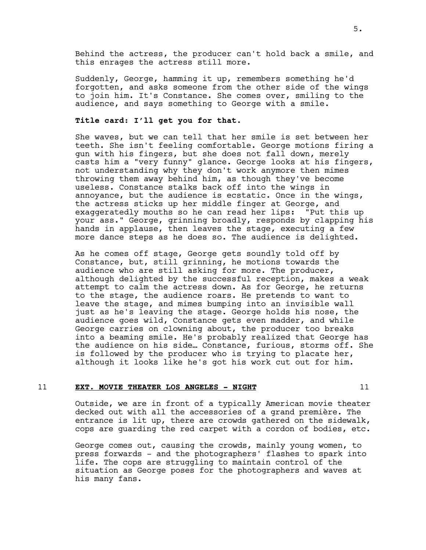Behind the actress, the producer can't hold back a smile, and this enrages the actress still more.

Suddenly, George, hamming it up, remembers something he'd forgotten, and asks someone from the other side of the wings to join him. It's Constance. She comes over, smiling to the audience, and says something to George with a smile.

#### **Title card: I'll get you for that.**

She waves, but we can tell that her smile is set between her teeth. She isn't feeling comfortable. George motions firing a gun with his fingers, but she does not fall down, merely casts him a "very funny" glance. George looks at his fingers, not understanding why they don't work anymore then mimes throwing them away behind him, as though they've become useless. Constance stalks back off into the wings in annoyance, but the audience is ecstatic. Once in the wings, the actress sticks up her middle finger at George, and exaggeratedly mouths so he can read her lips: "Put this up your ass." George, grinning broadly, responds by clapping his hands in applause, then leaves the stage, executing a few more dance steps as he does so. The audience is delighted.

As he comes off stage, George gets soundly told off by Constance, but, still grinning, he motions towards the audience who are still asking for more. The producer, although delighted by the successful reception, makes a weak attempt to calm the actress down. As for George, he returns to the stage, the audience roars. He pretends to want to leave the stage, and mimes bumping into an invisible wall just as he's leaving the stage. George holds his nose, the audience goes wild, Constance gets even madder, and while George carries on clowning about, the producer too breaks into a beaming smile. He's probably realized that George has the audience on his side… Constance, furious, storms off. She is followed by the producer who is trying to placate her, although it looks like he's got his work cut out for him.

#### 11 **EXT. MOVIE THEATER LOS ANGELES - NIGHT** 11

Outside, we are in front of a typically American movie theater decked out with all the accessories of a grand première. The entrance is lit up, there are crowds gathered on the sidewalk, cops are guarding the red carpet with a cordon of bodies, etc.

George comes out, causing the crowds, mainly young women, to press forwards - and the photographers' flashes to spark into life. The cops are struggling to maintain control of the situation as George poses for the photographers and waves at his many fans.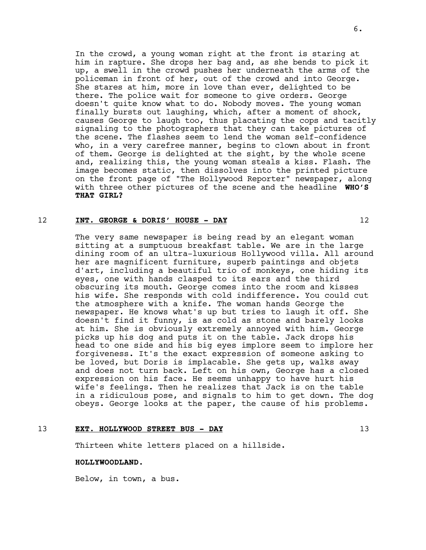In the crowd, a young woman right at the front is staring at him in rapture. She drops her bag and, as she bends to pick it up, a swell in the crowd pushes her underneath the arms of the policeman in front of her, out of the crowd and into George. She stares at him, more in love than ever, delighted to be there. The police wait for someone to give orders. George doesn't quite know what to do. Nobody moves. The young woman finally bursts out laughing, which, after a moment of shock, causes George to laugh too, thus placating the cops and tacitly signaling to the photographers that they can take pictures of the scene. The flashes seem to lend the woman self-confidence who, in a very carefree manner, begins to clown about in front of them. George is delighted at the sight, by the whole scene and, realizing this, the young woman steals a kiss. Flash. The image becomes static, then dissolves into the printed picture on the front page of "The Hollywood Reporter" newspaper, along with three other pictures of the scene and the headline **WHO'S THAT GIRL?**

#### 12 **INT. GEORGE & DORIS' HOUSE - DAY** 12

The very same newspaper is being read by an elegant woman sitting at a sumptuous breakfast table. We are in the large dining room of an ultra-luxurious Hollywood villa. All around her are magnificent furniture, superb paintings and objets d'art, including a beautiful trio of monkeys, one hiding its eyes, one with hands clasped to its ears and the third obscuring its mouth. George comes into the room and kisses his wife. She responds with cold indifference. You could cut the atmosphere with a knife. The woman hands George the newspaper. He knows what's up but tries to laugh it off. She doesn't find it funny, is as cold as stone and barely looks at him. She is obviously extremely annoyed with him. George picks up his dog and puts it on the table. Jack drops his head to one side and his big eyes implore seem to implore her forgiveness. It's the exact expression of someone asking to be loved, but Doris is implacable. She gets up, walks away and does not turn back. Left on his own, George has a closed expression on his face. He seems unhappy to have hurt his wife's feelings. Then he realizes that Jack is on the table in a ridiculous pose, and signals to him to get down. The dog obeys. George looks at the paper, the cause of his problems.

#### 13 **EXT. HOLLYWOOD STREET BUS - DAY** 13

Thirteen white letters placed on a hillside.

#### **HOLLYWOODLAND.**

Below, in town, a bus.

6.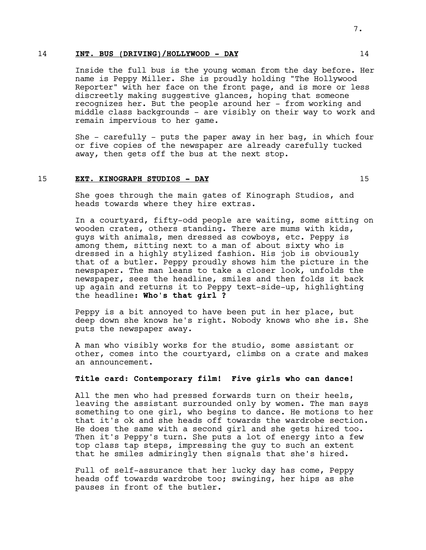#### 14 **INT. BUS (DRIVING)/HOLLYWOOD - DAY** 14

Inside the full bus is the young woman from the day before. Her name is Peppy Miller. She is proudly holding "The Hollywood Reporter" with her face on the front page, and is more or less discreetly making suggestive glances, hoping that someone recognizes her. But the people around her - from working and middle class backgrounds - are visibly on their way to work and remain impervious to her game.

She - carefully - puts the paper away in her bag, in which four or five copies of the newspaper are already carefully tucked away, then gets off the bus at the next stop.

#### 15 **EXT. KINOGRAPH STUDIOS - DAY** 15

She goes through the main gates of Kinograph Studios, and heads towards where they hire extras.

In a courtyard, fifty-odd people are waiting, some sitting on wooden crates, others standing. There are mums with kids, guys with animals, men dressed as cowboys, etc. Peppy is among them, sitting next to a man of about sixty who is dressed in a highly stylized fashion. His job is obviously that of a butler. Peppy proudly shows him the picture in the newspaper. The man leans to take a closer look, unfolds the newspaper, sees the headline, smiles and then folds it back up again and returns it to Peppy text-side-up, highlighting the headline: **Who's that girl ?**

Peppy is a bit annoyed to have been put in her place, but deep down she knows he's right. Nobody knows who she is. She puts the newspaper away.

A man who visibly works for the studio, some assistant or other, comes into the courtyard, climbs on a crate and makes an announcement.

# **Title card: Contemporary film! Five girls who can dance!**

All the men who had pressed forwards turn on their heels, leaving the assistant surrounded only by women. The man says something to one girl, who begins to dance. He motions to her that it's ok and she heads off towards the wardrobe section. He does the same with a second girl and she gets hired too. Then it's Peppy's turn. She puts a lot of energy into a few top class tap steps, impressing the guy to such an extent that he smiles admiringly then signals that she's hired.

Full of self-assurance that her lucky day has come, Peppy heads off towards wardrobe too; swinging, her hips as she pauses in front of the butler.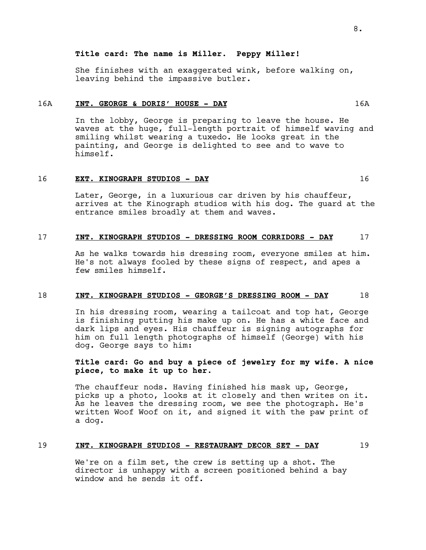# **Title card: The name is Miller. Peppy Miller!**

She finishes with an exaggerated wink, before walking on, leaving behind the impassive butler.

#### 16A **INT. GEORGE & DORIS' HOUSE - DAY** 16A

In the lobby, George is preparing to leave the house. He waves at the huge, full-length portrait of himself waving and smiling whilst wearing a tuxedo. He looks great in the painting, and George is delighted to see and to wave to himself.

#### 16 **EXT. KINOGRAPH STUDIOS - DAY** 16

Later, George, in a luxurious car driven by his chauffeur, arrives at the Kinograph studios with his dog. The guard at the entrance smiles broadly at them and waves.

# 17 **INT. KINOGRAPH STUDIOS - DRESSING ROOM CORRIDORS - DAY** 17

As he walks towards his dressing room, everyone smiles at him. He's not always fooled by these signs of respect, and apes a few smiles himself.

#### 18 **INT. KINOGRAPH STUDIOS - GEORGE'S DRESSING ROOM - DAY** 18

In his dressing room, wearing a tailcoat and top hat, George is finishing putting his make up on. He has a white face and dark lips and eyes. His chauffeur is signing autographs for him on full length photographs of himself (George) with his dog. George says to him:

# **Title card: Go and buy a piece of jewelry for my wife. A nice piece, to make it up to her.**

The chauffeur nods. Having finished his mask up, George, picks up a photo, looks at it closely and then writes on it. As he leaves the dressing room, we see the photograph. He's written Woof Woof on it, and signed it with the paw print of a dog.

#### 19 **INT. KINOGRAPH STUDIOS - RESTAURANT DECOR SET - DAY** 19

We're on a film set, the crew is setting up a shot. The director is unhappy with a screen positioned behind a bay window and he sends it off.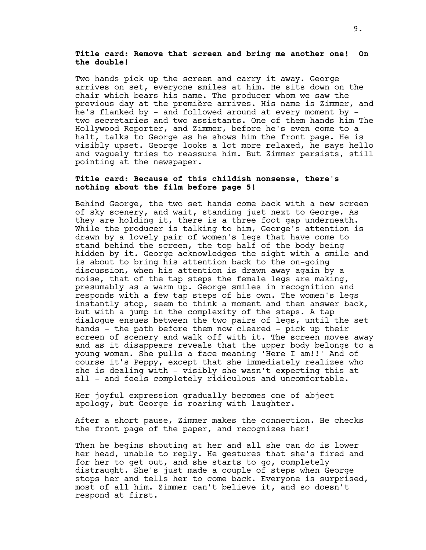# **Title card: Remove that screen and bring me another one! On the double!**

Two hands pick up the screen and carry it away. George arrives on set, everyone smiles at him. He sits down on the chair which bears his name. The producer whom we saw the previous day at the première arrives. His name is Zimmer, and he's flanked by - and followed around at every moment by two secretaries and two assistants. One of them hands him The Hollywood Reporter, and Zimmer, before he's even come to a halt, talks to George as he shows him the front page. He is visibly upset. George looks a lot more relaxed, he says hello and vaguely tries to reassure him. But Zimmer persists, still pointing at the newspaper.

# **Title card: Because of this childish nonsense, there's nothing about the film before page 5!**

Behind George, the two set hands come back with a new screen of sky scenery, and wait, standing just next to George. As they are holding it, there is a three foot gap underneath. While the producer is talking to him, George's attention is drawn by a lovely pair of women's legs that have come to stand behind the screen, the top half of the body being hidden by it. George acknowledges the sight with a smile and is about to bring his attention back to the on-going discussion, when his attention is drawn away again by a noise, that of the tap steps the female legs are making, presumably as a warm up. George smiles in recognition and responds with a few tap steps of his own. The women's legs instantly stop, seem to think a moment and then answer back, but with a jump in the complexity of the steps. A tap dialogue ensues between the two pairs of legs, until the set hands - the path before them now cleared - pick up their screen of scenery and walk off with it. The screen moves away and as it disappears reveals that the upper body belongs to a young woman. She pulls a face meaning 'Here I am!!' And of course it's Peppy, except that she immediately realizes who she is dealing with - visibly she wasn't expecting this at all - and feels completely ridiculous and uncomfortable.

Her joyful expression gradually becomes one of abject apology, but George is roaring with laughter.

After a short pause, Zimmer makes the connection. He checks the front page of the paper, and recognizes her!

Then he begins shouting at her and all she can do is lower her head, unable to reply. He gestures that she's fired and for her to get out, and she starts to go, completely distraught. She's just made a couple of steps when George stops her and tells her to come back. Everyone is surprised, most of all him. Zimmer can't believe it, and so doesn't respond at first.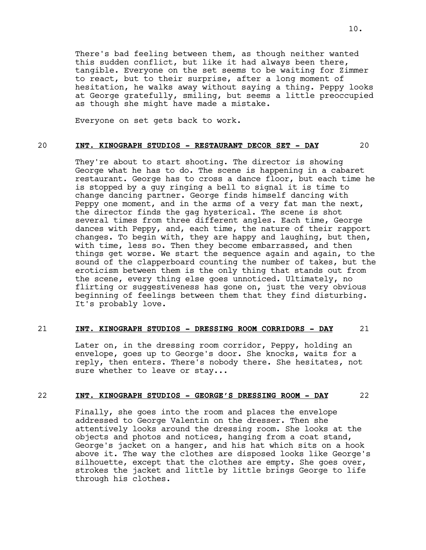There's bad feeling between them, as though neither wanted this sudden conflict, but like it had always been there, tangible. Everyone on the set seems to be waiting for Zimmer to react, but to their surprise, after a long moment of hesitation, he walks away without saying a thing. Peppy looks at George gratefully, smiling, but seems a little preoccupied as though she might have made a mistake.

Everyone on set gets back to work.

# 20 **INT. KINOGRAPH STUDIOS - RESTAURANT DECOR SET - DAY** 20

They're about to start shooting. The director is showing George what he has to do. The scene is happening in a cabaret restaurant. George has to cross a dance floor, but each time he is stopped by a guy ringing a bell to signal it is time to change dancing partner. George finds himself dancing with Peppy one moment, and in the arms of a very fat man the next, the director finds the gag hysterical. The scene is shot several times from three different angles. Each time, George dances with Peppy, and, each time, the nature of their rapport changes. To begin with, they are happy and laughing, but then, with time, less so. Then they become embarrassed, and then things get worse. We start the sequence again and again, to the sound of the clapperboard counting the number of takes, but the eroticism between them is the only thing that stands out from the scene, every thing else goes unnoticed. Ultimately, no flirting or suggestiveness has gone on, just the very obvious beginning of feelings between them that they find disturbing. It's probably love.

# 21 **INT. KINOGRAPH STUDIOS - DRESSING ROOM CORRIDORS - DAY** 21

Later on, in the dressing room corridor, Peppy, holding an envelope, goes up to George's door. She knocks, waits for a reply, then enters. There's nobody there. She hesitates, not sure whether to leave or stay...

# 22 **INT. KINOGRAPH STUDIOS - GEORGE'S DRESSING ROOM - DAY** 22

Finally, she goes into the room and places the envelope addressed to George Valentin on the dresser. Then she attentively looks around the dressing room. She looks at the objects and photos and notices, hanging from a coat stand, George's jacket on a hanger, and his hat which sits on a hook above it. The way the clothes are disposed looks like George's silhouette, except that the clothes are empty. She goes over, strokes the jacket and little by little brings George to life through his clothes.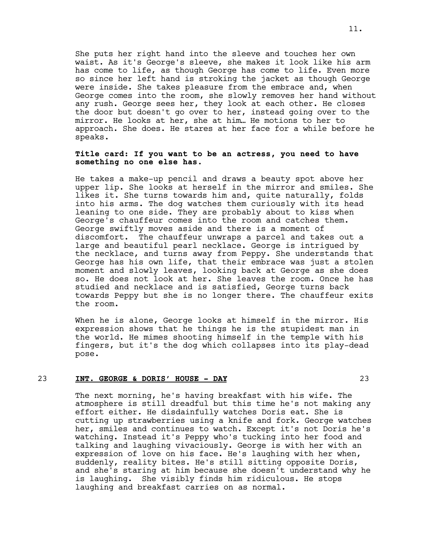She puts her right hand into the sleeve and touches her own waist. As it's George's sleeve, she makes it look like his arm has come to life, as though George has come to life. Even more so since her left hand is stroking the jacket as though George were inside. She takes pleasure from the embrace and, when George comes into the room, she slowly removes her hand without any rush. George sees her, they look at each other. He closes the door but doesn't go over to her, instead going over to the mirror. He looks at her, she at him… He motions to her to approach. She does. He stares at her face for a while before he speaks.

# **Title card: If you want to be an actress, you need to have something no one else has.**

He takes a make-up pencil and draws a beauty spot above her upper lip. She looks at herself in the mirror and smiles. She likes it. She turns towards him and, quite naturally, folds into his arms. The dog watches them curiously with its head leaning to one side. They are probably about to kiss when George's chauffeur comes into the room and catches them. George swiftly moves aside and there is a moment of discomfort. The chauffeur unwraps a parcel and takes out a large and beautiful pearl necklace. George is intrigued by the necklace, and turns away from Peppy. She understands that George has his own life, that their embrace was just a stolen moment and slowly leaves, looking back at George as she does so. He does not look at her. She leaves the room. Once he has studied and necklace and is satisfied, George turns back towards Peppy but she is no longer there. The chauffeur exits the room.

When he is alone, George looks at himself in the mirror. His expression shows that he things he is the stupidest man in the world. He mimes shooting himself in the temple with his fingers, but it's the dog which collapses into its play-dead pose.

#### 23 **INT. GEORGE & DORIS' HOUSE - DAY** 23

The next morning, he's having breakfast with his wife. The atmosphere is still dreadful but this time he's not making any effort either. He disdainfully watches Doris eat. She is cutting up strawberries using a knife and fork. George watches her, smiles and continues to watch. Except it's not Doris he's watching. Instead it's Peppy who's tucking into her food and talking and laughing vivaciously. George is with her with an expression of love on his face. He's laughing with her when, suddenly, reality bites. He's still sitting opposite Doris, and she's staring at him because she doesn't understand why he is laughing. She visibly finds him ridiculous. He stops laughing and breakfast carries on as normal.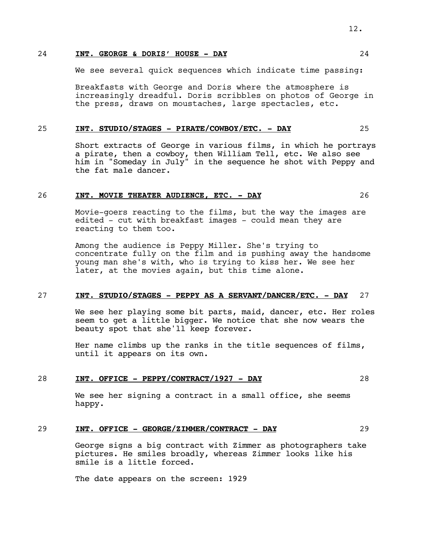# 24 **INT. GEORGE & DORIS' HOUSE - DAY** 24

We see several quick sequences which indicate time passing:

Breakfasts with George and Doris where the atmosphere is increasingly dreadful. Doris scribbles on photos of George in the press, draws on moustaches, large spectacles, etc.

#### 25 **INT. STUDIO/STAGES - PIRATE/COWBOY/ETC. - DAY** 25

Short extracts of George in various films, in which he portrays a pirate, then a cowboy, then William Tell, etc. We also see him in "Someday in July" in the sequence he shot with Peppy and the fat male dancer.

# 26 **INT. MOVIE THEATER AUDIENCE, ETC. - DAY** 26

Movie-goers reacting to the films, but the way the images are edited - cut with breakfast images - could mean they are reacting to them too.

Among the audience is Peppy Miller. She's trying to concentrate fully on the film and is pushing away the handsome young man she's with, who is trying to kiss her. We see her later, at the movies again, but this time alone.

#### 27 **INT. STUDIO/STAGES - PEPPY AS A SERVANT/DANCER/ETC. - DAY** 27

We see her playing some bit parts, maid, dancer, etc. Her roles seem to get a little bigger. We notice that she now wears the beauty spot that she'll keep forever.

Her name climbs up the ranks in the title sequences of films, until it appears on its own.

#### 28 **INT. OFFICE - PEPPY/CONTRACT/1927 - DAY** 28

We see her signing a contract in a small office, she seems happy.

# 29 **INT. OFFICE - GEORGE/ZIMMER/CONTRACT - DAY** 29

George signs a big contract with Zimmer as photographers take pictures. He smiles broadly, whereas Zimmer looks like his smile is a little forced.

The date appears on the screen: 1929

12.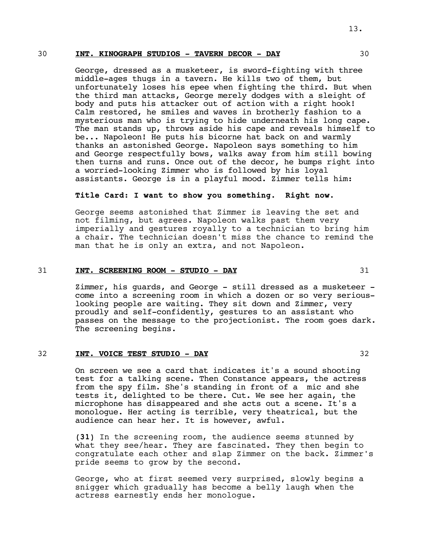#### 30 **INT. KINOGRAPH STUDIOS - TAVERN DECOR - DAY** 30

George, dressed as a musketeer, is sword-fighting with three middle-ages thugs in a tavern. He kills two of them, but unfortunately loses his epee when fighting the third. But when the third man attacks, George merely dodges with a sleight of body and puts his attacker out of action with a right hook! Calm restored, he smiles and waves in brotherly fashion to a mysterious man who is trying to hide underneath his long cape. The man stands up, throws aside his cape and reveals himself to be... Napoleon! He puts his bicorne hat back on and warmly thanks an astonished George. Napoleon says something to him and George respectfully bows, walks away from him still bowing then turns and runs. Once out of the decor, he bumps right into a worried-looking Zimmer who is followed by his loyal assistants. George is in a playful mood. Zimmer tells him:

# **Title Card: I want to show you something. Right now.**

George seems astonished that Zimmer is leaving the set and not filming, but agrees. Napoleon walks past them very imperially and gestures royally to a technician to bring him a chair. The technician doesn't miss the chance to remind the man that he is only an extra, and not Napoleon.

#### 31 **INT. SCREENING ROOM - STUDIO - DAY** 31

Zimmer, his guards, and George - still dressed as a musketeer come into a screening room in which a dozen or so very seriouslooking people are waiting. They sit down and Zimmer, very proudly and self-confidently, gestures to an assistant who passes on the message to the projectionist. The room goes dark. The screening begins.

## 32 **INT. VOICE TEST STUDIO - DAY** 32

On screen we see a card that indicates it's a sound shooting test for a talking scene. Then Constance appears, the actress from the spy film. She's standing in front of a mic and she tests it, delighted to be there. Cut. We see her again, the microphone has disappeared and she acts out a scene. It's a monologue. Her acting is terrible, very theatrical, but the audience can hear her. It is however, awful.

**(31)** In the screening room, the audience seems stunned by what they see/hear. They are fascinated. They then begin to congratulate each other and slap Zimmer on the back. Zimmer's pride seems to grow by the second.

George, who at first seemed very surprised, slowly begins a snigger which gradually has become a belly laugh when the actress earnestly ends her monologue.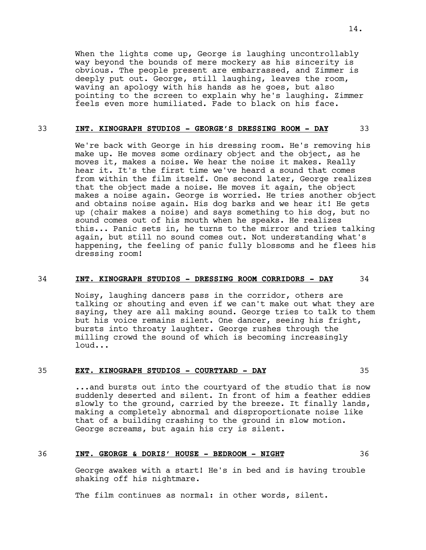When the lights come up, George is laughing uncontrollably way beyond the bounds of mere mockery as his sincerity is obvious. The people present are embarrassed, and Zimmer is deeply put out. George, still laughing, leaves the room, waving an apology with his hands as he goes, but also pointing to the screen to explain why he's laughing. Zimmer feels even more humiliated. Fade to black on his face.

#### 33 **INT. KINOGRAPH STUDIOS - GEORGE'S DRESSING ROOM - DAY** 33

We're back with George in his dressing room. He's removing his make up. He moves some ordinary object and the object, as he moves it, makes a noise. We hear the noise it makes. Really hear it. It's the first time we've heard a sound that comes from within the film itself. One second later, George realizes that the object made a noise. He moves it again, the object makes a noise again. George is worried. He tries another object and obtains noise again. His dog barks and we hear it! He gets up (chair makes a noise) and says something to his dog, but no sound comes out of his mouth when he speaks. He realizes this... Panic sets in, he turns to the mirror and tries talking again, but still no sound comes out. Not understanding what's happening, the feeling of panic fully blossoms and he flees his dressing room!

#### 34 **INT. KINOGRAPH STUDIOS - DRESSING ROOM CORRIDORS - DAY** 34

Noisy, laughing dancers pass in the corridor, others are talking or shouting and even if we can't make out what they are saying, they are all making sound. George tries to talk to them but his voice remains silent. One dancer, seeing his fright, bursts into throaty laughter. George rushes through the milling crowd the sound of which is becoming increasingly loud...

#### 35 **EXT. KINOGRAPH STUDIOS - COURTYARD - DAY** 35

...and bursts out into the courtyard of the studio that is now suddenly deserted and silent. In front of him a feather eddies slowly to the ground, carried by the breeze. It finally lands, making a completely abnormal and disproportionate noise like that of a building crashing to the ground in slow motion. George screams, but again his cry is silent.

#### 36 **INT. GEORGE & DORIS' HOUSE - BEDROOM - NIGHT** 36

George awakes with a start! He's in bed and is having trouble shaking off his nightmare.

The film continues as normal: in other words, silent.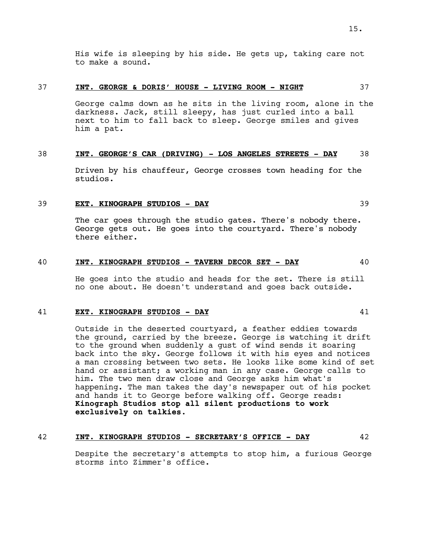His wife is sleeping by his side. He gets up, taking care not to make a sound.

# 37 **INT. GEORGE & DORIS' HOUSE - LIVING ROOM - NIGHT** 37

George calms down as he sits in the living room, alone in the darkness. Jack, still sleepy, has just curled into a ball next to him to fall back to sleep. George smiles and gives him a pat.

# 38 **INT. GEORGE'S CAR (DRIVING) - LOS ANGELES STREETS - DAY** 38

Driven by his chauffeur, George crosses town heading for the studios.

# 39 **EXT. KINOGRAPH STUDIOS - DAY** 39

The car goes through the studio gates. There's nobody there. George gets out. He goes into the courtyard. There's nobody there either.

# 40 **INT. KINOGRAPH STUDIOS - TAVERN DECOR SET - DAY** 40

He goes into the studio and heads for the set. There is still no one about. He doesn't understand and goes back outside.

#### 41 **EXT. KINOGRAPH STUDIOS - DAY** 41

Outside in the deserted courtyard, a feather eddies towards the ground, carried by the breeze. George is watching it drift to the ground when suddenly a gust of wind sends it soaring back into the sky. George follows it with his eyes and notices a man crossing between two sets. He looks like some kind of set hand or assistant; a working man in any case. George calls to him. The two men draw close and George asks him what's happening. The man takes the day's newspaper out of his pocket and hands it to George before walking off. George reads: **Kinograph Studios stop all silent productions to work exclusively on talkies.**

#### 42 **INT. KINOGRAPH STUDIOS - SECRETARY'S OFFICE - DAY** 42

Despite the secretary's attempts to stop him, a furious George storms into Zimmer's office.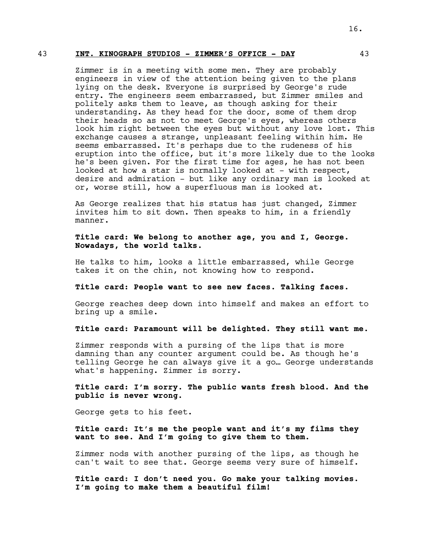#### 43 **INT. KINOGRAPH STUDIOS - ZIMMER'S OFFICE - DAY** 43

Zimmer is in a meeting with some men. They are probably engineers in view of the attention being given to the plans lying on the desk. Everyone is surprised by George's rude entry. The engineers seem embarrassed, but Zimmer smiles and politely asks them to leave, as though asking for their understanding. As they head for the door, some of them drop their heads so as not to meet George's eyes, whereas others look him right between the eyes but without any love lost. This exchange causes a strange, unpleasant feeling within him. He seems embarrassed. It's perhaps due to the rudeness of his eruption into the office, but it's more likely due to the looks he's been given. For the first time for ages, he has not been looked at how a star is normally looked at - with respect, desire and admiration - but like any ordinary man is looked at or, worse still, how a superfluous man is looked at.

As George realizes that his status has just changed, Zimmer invites him to sit down. Then speaks to him, in a friendly manner.

# **Title card: We belong to another age, you and I, George. Nowadays, the world talks.**

He talks to him, looks a little embarrassed, while George takes it on the chin, not knowing how to respond.

#### **Title card: People want to see new faces. Talking faces.**

George reaches deep down into himself and makes an effort to bring up a smile.

# **Title card: Paramount will be delighted. They still want me.**

Zimmer responds with a pursing of the lips that is more damning than any counter argument could be. As though he's telling George he can always give it a go… George understands what's happening. Zimmer is sorry.

# **Title card: I'm sorry. The public wants fresh blood. And the public is never wrong.**

George gets to his feet.

**Title card: It's me the people want and it's my films they want to see. And I'm going to give them to them.**

Zimmer nods with another pursing of the lips, as though he can't wait to see that. George seems very sure of himself.

**Title card: I don't need you. Go make your talking movies. I'm going to make them a beautiful film!**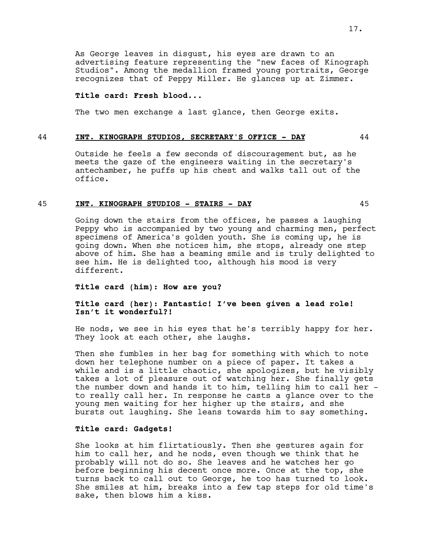As George leaves in disgust, his eyes are drawn to an advertising feature representing the "new faces of Kinograph Studios". Among the medallion framed young portraits, George recognizes that of Peppy Miller. He glances up at Zimmer.

#### **Title card: Fresh blood...**

The two men exchange a last glance, then George exits.

#### 44 **INT. KINOGRAPH STUDIOS, SECRETARY'S OFFICE - DAY** 44

Outside he feels a few seconds of discouragement but, as he meets the gaze of the engineers waiting in the secretary's antechamber, he puffs up his chest and walks tall out of the office.

#### 45 **INT. KINOGRAPH STUDIOS - STAIRS - DAY** 45

Going down the stairs from the offices, he passes a laughing Peppy who is accompanied by two young and charming men, perfect specimens of America's golden youth. She is coming up, he is going down. When she notices him, she stops, already one step above of him. She has a beaming smile and is truly delighted to see him. He is delighted too, although his mood is very different.

#### **Title card (him): How are you?**

# **Title card (her): Fantastic! I've been given a lead role! Isn't it wonderful?!**

He nods, we see in his eyes that he's terribly happy for her. They look at each other, she laughs.

Then she fumbles in her bag for something with which to note down her telephone number on a piece of paper. It takes a while and is a little chaotic, she apologizes, but he visibly takes a lot of pleasure out of watching her. She finally gets the number down and hands it to him, telling him to call her to really call her. In response he casts a glance over to the young men waiting for her higher up the stairs, and she bursts out laughing. She leans towards him to say something.

# **Title card: Gadgets!**

She looks at him flirtatiously. Then she gestures again for him to call her, and he nods, even though we think that he probably will not do so. She leaves and he watches her go before beginning his decent once more. Once at the top, she turns back to call out to George, he too has turned to look. She smiles at him, breaks into a few tap steps for old time's sake, then blows him a kiss.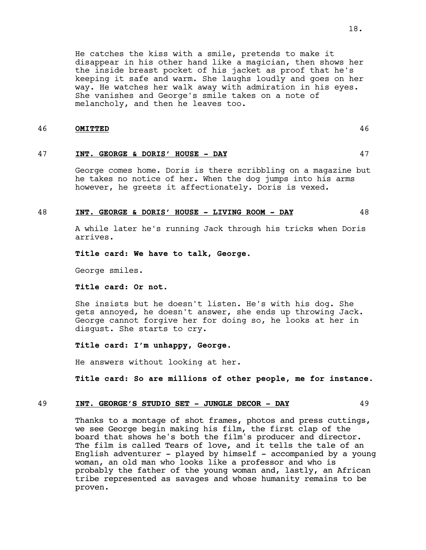# way. He watches her walk away with admiration in his eyes. She vanishes and George's smile takes on a note of melancholy, and then he leaves too.

# 46 **OMITTED** 46

# 47 **INT. GEORGE & DORIS' HOUSE - DAY** 47

George comes home. Doris is there scribbling on a magazine but he takes no notice of her. When the dog jumps into his arms however, he greets it affectionately. Doris is vexed.

# 48 **INT. GEORGE & DORIS' HOUSE - LIVING ROOM - DAY** 48

A while later he's running Jack through his tricks when Doris arrives.

# **Title card: We have to talk, George.**

George smiles.

# **Title card: Or not.**

She insists but he doesn't listen. He's with his dog. She gets annoyed, he doesn't answer, she ends up throwing Jack. George cannot forgive her for doing so, he looks at her in disgust. She starts to cry.

# **Title card: I'm unhappy, George.**

He answers without looking at her.

**Title card: So are millions of other people, me for instance.**

# 49 **INT. GEORGE'S STUDIO SET - JUNGLE DECOR - DAY** 49

Thanks to a montage of shot frames, photos and press cuttings, we see George begin making his film, the first clap of the board that shows he's both the film's producer and director. The film is called Tears of love, and it tells the tale of an English adventurer - played by himself - accompanied by a young woman, an old man who looks like a professor and who is probably the father of the young woman and, lastly, an African tribe represented as savages and whose humanity remains to be proven.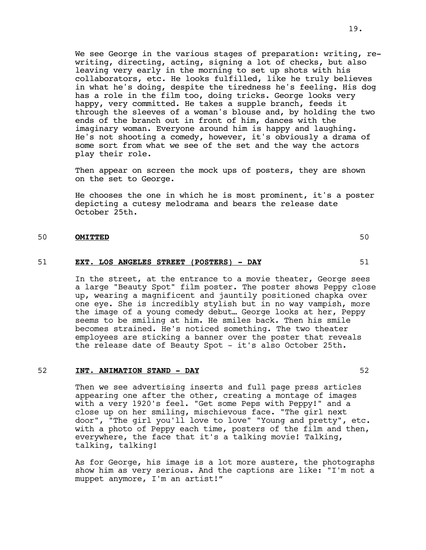We see George in the various stages of preparation: writing, rewriting, directing, acting, signing a lot of checks, but also leaving very early in the morning to set up shots with his collaborators, etc. He looks fulfilled, like he truly believes in what he's doing, despite the tiredness he's feeling. His dog has a role in the film too, doing tricks. George looks very happy, very committed. He takes a supple branch, feeds it through the sleeves of a woman's blouse and, by holding the two ends of the branch out in front of him, dances with the imaginary woman. Everyone around him is happy and laughing. He's not shooting a comedy, however, it's obviously a drama of some sort from what we see of the set and the way the actors play their role.

Then appear on screen the mock ups of posters, they are shown on the set to George.

He chooses the one in which he is most prominent, it's a poster depicting a cutesy melodrama and bears the release date October 25th.

# 50 **OMITTED** 50

#### 51 **EXT. LOS ANGELES STREET (POSTERS) - DAY** 51

In the street, at the entrance to a movie theater, George sees a large "Beauty Spot" film poster. The poster shows Peppy close up, wearing a magnificent and jauntily positioned chapka over one eye. She is incredibly stylish but in no way vampish, more the image of a young comedy debut… George looks at her, Peppy seems to be smiling at him. He smiles back. Then his smile becomes strained. He's noticed something. The two theater employees are sticking a banner over the poster that reveals the release date of Beauty Spot - it's also October 25th.

# 52 **INT. ANIMATION STAND - DAY** 52

Then we see advertising inserts and full page press articles appearing one after the other, creating a montage of images with a very 1920's feel. "Get some Peps with Peppy!" and a close up on her smiling, mischievous face. "The girl next door", "The girl you'll love to love" "Young and pretty", etc. with a photo of Peppy each time, posters of the film and then, everywhere, the face that it's a talking movie! Talking, talking, talking!

As for George, his image is a lot more austere, the photographs show him as very serious. And the captions are like: "I'm not a muppet anymore, I'm an artist!"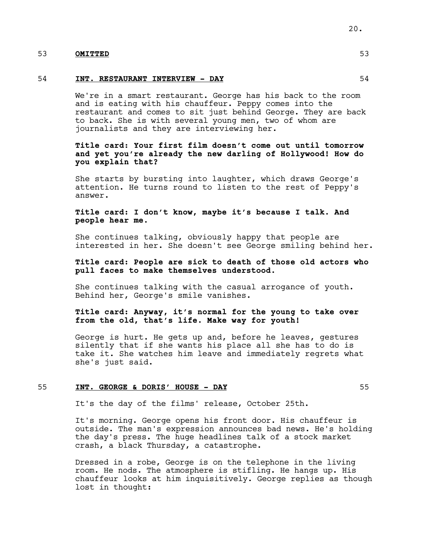# 53 **OMITTED** 53

#### 54 **INT. RESTAURANT INTERVIEW - DAY** 54

We're in a smart restaurant. George has his back to the room and is eating with his chauffeur. Peppy comes into the restaurant and comes to sit just behind George. They are back to back. She is with several young men, two of whom are journalists and they are interviewing her.

# **Title card: Your first film doesn't come out until tomorrow and yet you're already the new darling of Hollywood! How do you explain that?**

She starts by bursting into laughter, which draws George's attention. He turns round to listen to the rest of Peppy's answer.

# **Title card: I don't know, maybe it's because I talk. And people hear me.**

She continues talking, obviously happy that people are interested in her. She doesn't see George smiling behind her.

# **Title card: People are sick to death of those old actors who pull faces to make themselves understood.**

She continues talking with the casual arrogance of youth. Behind her, George's smile vanishes.

# **Title card: Anyway, it's normal for the young to take over from the old, that's life. Make way for youth!**

George is hurt. He gets up and, before he leaves, gestures silently that if she wants his place all she has to do is take it. She watches him leave and immediately regrets what she's just said.

#### 55 **INT. GEORGE & DORIS' HOUSE - DAY** 55

It's the day of the films' release, October 25th.

It's morning. George opens his front door. His chauffeur is outside. The man's expression announces bad news. He's holding the day's press. The huge headlines talk of a stock market crash, a black Thursday, a catastrophe.

Dressed in a robe, George is on the telephone in the living room. He nods. The atmosphere is stifling. He hangs up. His chauffeur looks at him inquisitively. George replies as though lost in thought: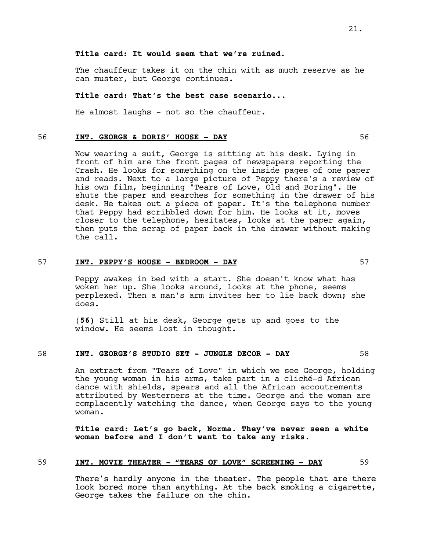# **Title card: It would seem that we're ruined.**

The chauffeur takes it on the chin with as much reserve as he can muster, but George continues.

# **Title card: That's the best case scenario...**

He almost laughs - not so the chauffeur.

#### 56 **INT. GEORGE & DORIS' HOUSE - DAY** 56

Now wearing a suit, George is sitting at his desk. Lying in front of him are the front pages of newspapers reporting the Crash. He looks for something on the inside pages of one paper and reads. Next to a large picture of Peppy there's a review of his own film, beginning "Tears of Love, Old and Boring". He shuts the paper and searches for something in the drawer of his desk. He takes out a piece of paper. It's the telephone number that Peppy had scribbled down for him. He looks at it, moves closer to the telephone, hesitates, looks at the paper again, then puts the scrap of paper back in the drawer without making the call.

#### 57 **INT. PEPPY'S HOUSE - BEDROOM - DAY** 57

Peppy awakes in bed with a start. She doesn't know what has woken her up. She looks around, looks at the phone, seems perplexed. Then a man's arm invites her to lie back down; she does.

(**56)** Still at his desk, George gets up and goes to the window. He seems lost in thought.

#### 58 **INT. GEORGE'S STUDIO SET - JUNGLE DECOR - DAY** 58

An extract from "Tears of Love" in which we see George, holding the young woman in his arms, take part in a cliché-d African dance with shields, spears and all the African accoutrements attributed by Westerners at the time. George and the woman are complacently watching the dance, when George says to the young woman.

**Title card: Let's go back, Norma. They've never seen a white woman before and I don't want to take any risks.**

#### 59 **INT. MOVIE THEATER - "TEARS OF LOVE" SCREENING - DAY** 59

There's hardly anyone in the theater. The people that are there look bored more than anything. At the back smoking a cigarette, George takes the failure on the chin.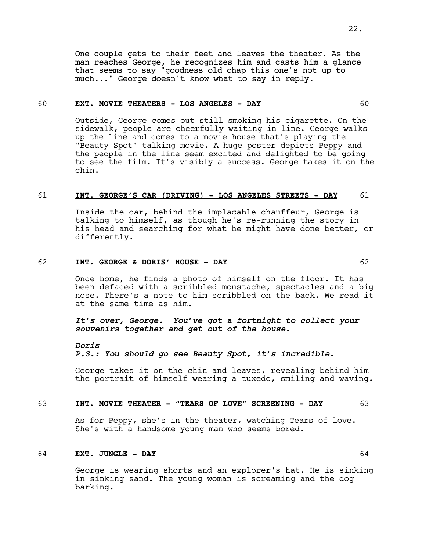One couple gets to their feet and leaves the theater. As the man reaches George, he recognizes him and casts him a glance that seems to say "goodness old chap this one's not up to much..." George doesn't know what to say in reply.

# 60 **EXT. MOVIE THEATERS - LOS ANGELES - DAY** 60

Outside, George comes out still smoking his cigarette. On the sidewalk, people are cheerfully waiting in line. George walks up the line and comes to a movie house that's playing the "Beauty Spot" talking movie. A huge poster depicts Peppy and the people in the line seem excited and delighted to be going to see the film. It's visibly a success. George takes it on the chin.

# 61 **INT. GEORGE'S CAR (DRIVING) - LOS ANGELES STREETS - DAY** 61

Inside the car, behind the implacable chauffeur, George is talking to himself, as though he's re-running the story in his head and searching for what he might have done better, or differently.

#### 62 **INT. GEORGE & DORIS' HOUSE - DAY** 62

Once home, he finds a photo of himself on the floor. It has been defaced with a scribbled moustache, spectacles and a big nose. There's a note to him scribbled on the back. We read it at the same time as him.

# *It's over, George. You've got a fortnight to collect your souvenirs together and get out of the house.*

#### *Doris*

# *P.S.: You should go see Beauty Spot, it's incredible.*

George takes it on the chin and leaves, revealing behind him the portrait of himself wearing a tuxedo, smiling and waving.

#### 63 **INT. MOVIE THEATER - "TEARS OF LOVE" SCREENING - DAY** 63

As for Peppy, she's in the theater, watching Tears of love. She's with a handsome young man who seems bored.

#### 64 **EXT. JUNGLE - DAY** 64

George is wearing shorts and an explorer's hat. He is sinking in sinking sand. The young woman is screaming and the dog barking.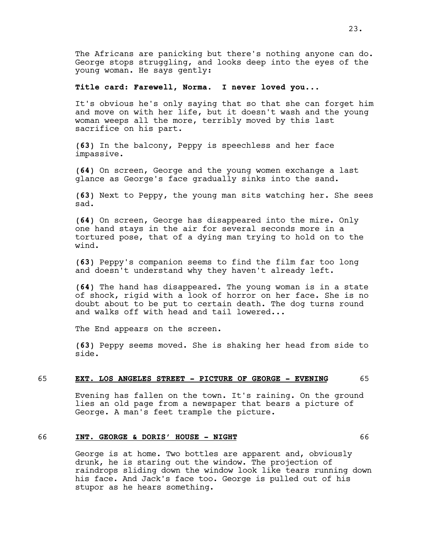The Africans are panicking but there's nothing anyone can do. George stops struggling, and looks deep into the eyes of the young woman. He says gently:

#### **Title card: Farewell, Norma. I never loved you...**

It's obvious he's only saying that so that she can forget him and move on with her life, but it doesn't wash and the young woman weeps all the more, terribly moved by this last sacrifice on his part.

**(63)** In the balcony, Peppy is speechless and her face impassive.

**(64)** On screen, George and the young women exchange a last glance as George's face gradually sinks into the sand.

**(63)** Next to Peppy, the young man sits watching her. She sees sad.

**(64)** On screen, George has disappeared into the mire. Only one hand stays in the air for several seconds more in a tortured pose, that of a dying man trying to hold on to the wind.

**(63)** Peppy's companion seems to find the film far too long and doesn't understand why they haven't already left.

**(64)** The hand has disappeared. The young woman is in a state of shock, rigid with a look of horror on her face. She is no doubt about to be put to certain death. The dog turns round and walks off with head and tail lowered...

The End appears on the screen.

**(63)** Peppy seems moved. She is shaking her head from side to side.

#### 65 **EXT. LOS ANGELES STREET - PICTURE OF GEORGE - EVENING** 65

Evening has fallen on the town. It's raining. On the ground lies an old page from a newspaper that bears a picture of George. A man's feet trample the picture.

#### 66 **INT. GEORGE & DORIS' HOUSE - NIGHT** 66

George is at home. Two bottles are apparent and, obviously drunk, he is staring out the window. The projection of raindrops sliding down the window look like tears running down his face. And Jack's face too. George is pulled out of his stupor as he hears something.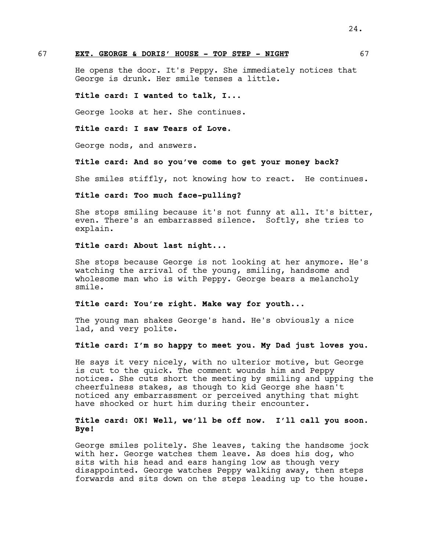# 67 **EXT. GEORGE & DORIS' HOUSE - TOP STEP - NIGHT** 67

He opens the door. It's Peppy. She immediately notices that George is drunk. Her smile tenses a little.

#### **Title card: I wanted to talk, I...**

George looks at her. She continues.

#### **Title card: I saw Tears of Love.**

George nods, and answers.

#### **Title card: And so you've come to get your money back?**

She smiles stiffly, not knowing how to react. He continues.

# **Title card: Too much face-pulling?**

She stops smiling because it's not funny at all. It's bitter, even. There's an embarrassed silence. Softly, she tries to explain.

### **Title card: About last night...**

She stops because George is not looking at her anymore. He's watching the arrival of the young, smiling, handsome and wholesome man who is with Peppy. George bears a melancholy smile.

#### **Title card: You're right. Make way for youth...**

The young man shakes George's hand. He's obviously a nice lad, and very polite.

# **Title card: I'm so happy to meet you. My Dad just loves you.**

He says it very nicely, with no ulterior motive, but George is cut to the quick. The comment wounds him and Peppy notices. She cuts short the meeting by smiling and upping the cheerfulness stakes, as though to kid George she hasn't noticed any embarrassment or perceived anything that might have shocked or hurt him during their encounter.

# **Title card: OK! Well, we'll be off now. I'll call you soon. Bye!**

George smiles politely. She leaves, taking the handsome jock with her. George watches them leave. As does his dog, who sits with his head and ears hanging low as though very disappointed. George watches Peppy walking away, then steps forwards and sits down on the steps leading up to the house.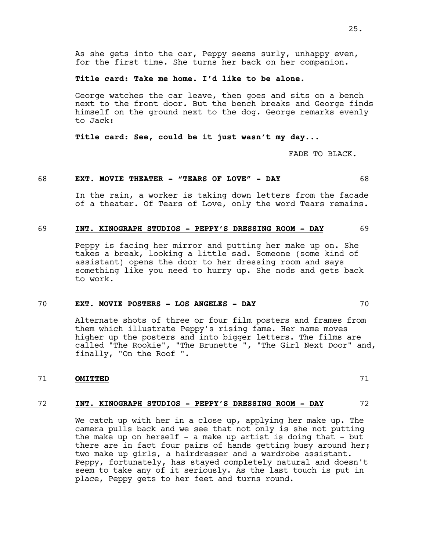As she gets into the car, Peppy seems surly, unhappy even, for the first time. She turns her back on her companion.

#### **Title card: Take me home. I'd like to be alone.**

George watches the car leave, then goes and sits on a bench next to the front door. But the bench breaks and George finds himself on the ground next to the dog. George remarks evenly to Jack:

**Title card: See, could be it just wasn't my day...**

FADE TO BLACK.

#### 68 **EXT. MOVIE THEATER - "TEARS OF LOVE" - DAY** 68

In the rain, a worker is taking down letters from the facade of a theater. Of Tears of Love, only the word Tears remains.

#### 69 **INT. KINOGRAPH STUDIOS - PEPPY'S DRESSING ROOM - DAY** 69

Peppy is facing her mirror and putting her make up on. She takes a break, looking a little sad. Someone (some kind of assistant) opens the door to her dressing room and says something like you need to hurry up. She nods and gets back to work.

# 70 **EXT. MOVIE POSTERS - LOS ANGELES - DAY** 70

Alternate shots of three or four film posters and frames from them which illustrate Peppy's rising fame. Her name moves higher up the posters and into bigger letters. The films are called "The Rookie", "The Brunette ", "The Girl Next Door" and, finally, "On the Roof ".

# 71 **OMITTED** 71

#### 72 **INT. KINOGRAPH STUDIOS - PEPPY'S DRESSING ROOM - DAY** 72

We catch up with her in a close up, applying her make up. The camera pulls back and we see that not only is she not putting the make up on herself  $-$  a make up artist is doing that  $-$  but there are in fact four pairs of hands getting busy around her; two make up girls, a hairdresser and a wardrobe assistant. Peppy, fortunately, has stayed completely natural and doesn't seem to take any of it seriously. As the last touch is put in place, Peppy gets to her feet and turns round.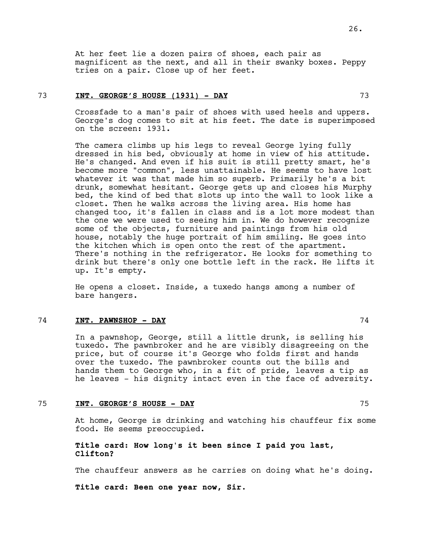At her feet lie a dozen pairs of shoes, each pair as magnificent as the next, and all in their swanky boxes. Peppy tries on a pair. Close up of her feet.

# 73 **INT. GEORGE'S HOUSE (1931) - DAY** 73

Crossfade to a man's pair of shoes with used heels and uppers. George's dog comes to sit at his feet. The date is superimposed on the screen: 1931.

The camera climbs up his legs to reveal George lying fully dressed in his bed, obviously at home in view of his attitude. He's changed. And even if his suit is still pretty smart, he's become more "common", less unattainable. He seems to have lost whatever it was that made him so superb. Primarily he's a bit drunk, somewhat hesitant. George gets up and closes his Murphy bed, the kind of bed that slots up into the wall to look like a closet. Then he walks across the living area. His home has changed too, it's fallen in class and is a lot more modest than the one we were used to seeing him in. We do however recognize some of the objects, furniture and paintings from his old house, notably the huge portrait of him smiling. He goes into the kitchen which is open onto the rest of the apartment. There's nothing in the refrigerator. He looks for something to drink but there's only one bottle left in the rack. He lifts it up. It's empty.

He opens a closet. Inside, a tuxedo hangs among a number of bare hangers.

# 74 **INT. PAWNSHOP - DAY** 74

In a pawnshop, George, still a little drunk, is selling his tuxedo. The pawnbroker and he are visibly disagreeing on the price, but of course it's George who folds first and hands over the tuxedo. The pawnbroker counts out the bills and hands them to George who, in a fit of pride, leaves a tip as he leaves - his dignity intact even in the face of adversity.

#### 75 **INT. GEORGE'S HOUSE - DAY** 75

At home, George is drinking and watching his chauffeur fix some food. He seems preoccupied.

# **Title card: How long's it been since I paid you last, Clifton?**

The chauffeur answers as he carries on doing what he's doing.

**Title card: Been one year now, Sir.**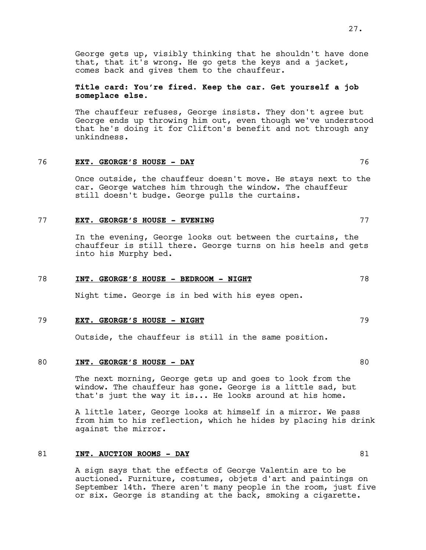George gets up, visibly thinking that he shouldn't have done that, that it's wrong. He go gets the keys and a jacket, comes back and gives them to the chauffeur.

**Title card: You're fired. Keep the car. Get yourself a job someplace else.**

The chauffeur refuses, George insists. They don't agree but George ends up throwing him out, even though we've understood that he's doing it for Clifton's benefit and not through any unkindness.

# 76 **EXT. GEORGE'S HOUSE - DAY** 76

Once outside, the chauffeur doesn't move. He stays next to the car. George watches him through the window. The chauffeur still doesn't budge. George pulls the curtains.

#### 77 **EXT. GEORGE'S HOUSE - EVENING** 77

In the evening, George looks out between the curtains, the chauffeur is still there. George turns on his heels and gets into his Murphy bed.

# 78 **INT. GEORGE'S HOUSE - BEDROOM - NIGHT** 78

Night time. George is in bed with his eyes open.

## 79 **EXT. GEORGE'S HOUSE - NIGHT** 79

Outside, the chauffeur is still in the same position.

#### 80 **INT. GEORGE'S HOUSE - DAY** 80

The next morning, George gets up and goes to look from the window. The chauffeur has gone. George is a little sad, but that's just the way it is... He looks around at his home.

A little later, George looks at himself in a mirror. We pass from him to his reflection, which he hides by placing his drink against the mirror.

#### 81 **INT. AUCTION ROOMS - DAY** 81

A sign says that the effects of George Valentin are to be auctioned. Furniture, costumes, objets d'art and paintings on September 14th. There aren't many people in the room, just five or six. George is standing at the back, smoking a cigarette.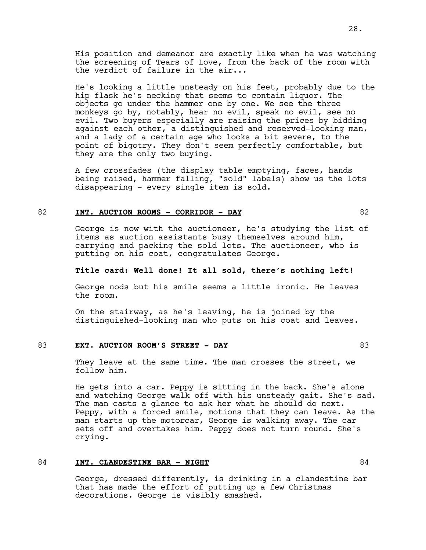His position and demeanor are exactly like when he was watching the screening of Tears of Love, from the back of the room with the verdict of failure in the air...

He's looking a little unsteady on his feet, probably due to the hip flask he's necking that seems to contain liquor. The objects go under the hammer one by one. We see the three monkeys go by, notably, hear no evil, speak no evil, see no evil. Two buyers especially are raising the prices by bidding against each other, a distinguished and reserved-looking man, and a lady of a certain age who looks a bit severe, to the point of bigotry. They don't seem perfectly comfortable, but they are the only two buying.

A few crossfades (the display table emptying, faces, hands being raised, hammer falling, "sold" labels) show us the lots disappearing - every single item is sold.

# 82 **INT. AUCTION ROOMS - CORRIDOR - DAY** 82

George is now with the auctioneer, he's studying the list of items as auction assistants busy themselves around him, carrying and packing the sold lots. The auctioneer, who is putting on his coat, congratulates George.

#### **Title card: Well done! It all sold, there's nothing left!**

George nods but his smile seems a little ironic. He leaves the room.

On the stairway, as he's leaving, he is joined by the distinguished-looking man who puts on his coat and leaves.

## 83 **EXT. AUCTION ROOM'S STREET - DAY** 83

They leave at the same time. The man crosses the street, we follow him.

He gets into a car. Peppy is sitting in the back. She's alone and watching George walk off with his unsteady gait. She's sad. The man casts a glance to ask her what he should do next. Peppy, with a forced smile, motions that they can leave. As the man starts up the motorcar, George is walking away. The car sets off and overtakes him. Peppy does not turn round. She's crying.

#### 84 **INT. CLANDESTINE BAR - NIGHT** 84

George, dressed differently, is drinking in a clandestine bar that has made the effort of putting up a few Christmas decorations. George is visibly smashed.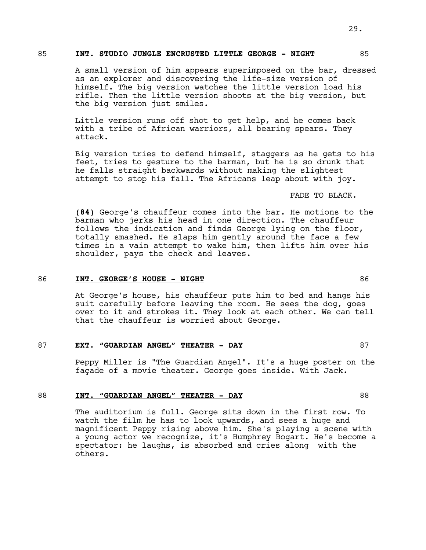#### 85 **INT. STUDIO JUNGLE ENCRUSTED LITTLE GEORGE - NIGHT** 85

A small version of him appears superimposed on the bar, dressed as an explorer and discovering the life-size version of himself. The big version watches the little version load his rifle. Then the little version shoots at the big version, but the big version just smiles.

Little version runs off shot to get help, and he comes back with a tribe of African warriors, all bearing spears. They attack.

Big version tries to defend himself, staggers as he gets to his feet, tries to gesture to the barman, but he is so drunk that he falls straight backwards without making the slightest attempt to stop his fall. The Africans leap about with joy.

FADE TO BLACK.

**(84)** George's chauffeur comes into the bar. He motions to the barman who jerks his head in one direction. The chauffeur follows the indication and finds George lying on the floor, totally smashed. He slaps him gently around the face a few times in a vain attempt to wake him, then lifts him over his shoulder, pays the check and leaves.

#### 86 **INT. GEORGE'S HOUSE - NIGHT** 86

At George's house, his chauffeur puts him to bed and hangs his suit carefully before leaving the room. He sees the dog, goes over to it and strokes it. They look at each other. We can tell that the chauffeur is worried about George.

#### 87 **EXT. "GUARDIAN ANGEL" THEATER - DAY** 87

Peppy Miller is "The Guardian Angel". It's a huge poster on the façade of a movie theater. George goes inside. With Jack.

#### 88 **INT. "GUARDIAN ANGEL" THEATER - DAY** 88

The auditorium is full. George sits down in the first row. To watch the film he has to look upwards, and sees a huge and magnificent Peppy rising above him. She's playing a scene with a young actor we recognize, it's Humphrey Bogart. He's become a spectator: he laughs, is absorbed and cries along with the others.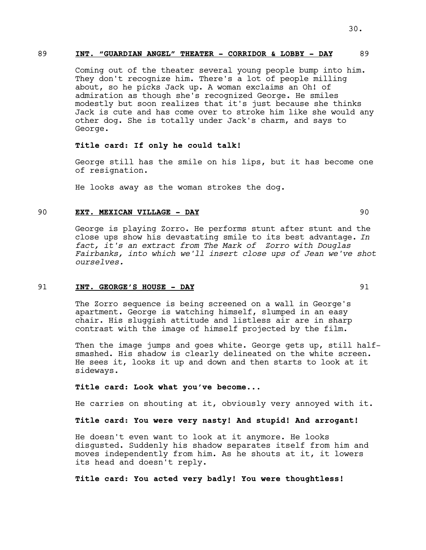# 89 **INT. "GUARDIAN ANGEL" THEATER - CORRIDOR & LOBBY - DAY** 89

Coming out of the theater several young people bump into him. They don't recognize him. There's a lot of people milling about, so he picks Jack up. A woman exclaims an Oh! of admiration as though she's recognized George. He smiles modestly but soon realizes that it's just because she thinks Jack is cute and has come over to stroke him like she would any other dog. She is totally under Jack's charm, and says to George.

# **Title card: If only he could talk!**

George still has the smile on his lips, but it has become one of resignation.

He looks away as the woman strokes the dog.

# 90 **EXT. MEXICAN VILLAGE - DAY** 90

George is playing Zorro. He performs stunt after stunt and the close ups show his devastating smile to its best advantage. *In fact, it's an extract from The Mark of Zorro with Douglas Fairbanks, into which we'll insert close ups of Jean we've shot ourselves.*

#### 91 **INT. GEORGE'S HOUSE - DAY** 91

The Zorro sequence is being screened on a wall in George's apartment. George is watching himself, slumped in an easy chair. His sluggish attitude and listless air are in sharp contrast with the image of himself projected by the film.

Then the image jumps and goes white. George gets up, still halfsmashed. His shadow is clearly delineated on the white screen. He sees it, looks it up and down and then starts to look at it sideways.

#### **Title card: Look what you've become...**

He carries on shouting at it, obviously very annoyed with it.

# **Title card: You were very nasty! And stupid! And arrogant!**

He doesn't even want to look at it anymore. He looks disgusted. Suddenly his shadow separates itself from him and moves independently from him. As he shouts at it, it lowers its head and doesn't reply.

# **Title card: You acted very badly! You were thoughtless!**

30.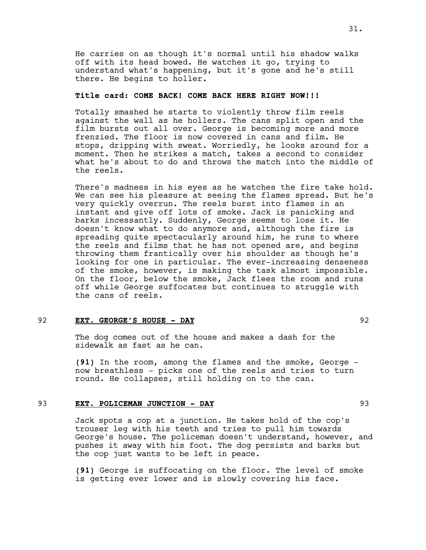He carries on as though it's normal until his shadow walks off with its head bowed. He watches it go, trying to understand what's happening, but it's gone and he's still there. He begins to holler.

#### **Title card: COME BACK! COME BACK HERE RIGHT NOW!!!**

Totally smashed he starts to violently throw film reels against the wall as he hollers. The cans split open and the film bursts out all over. George is becoming more and more frenzied. The floor is now covered in cans and film. He stops, dripping with sweat. Worriedly, he looks around for a moment. Then he strikes a match, takes a second to consider what he's about to do and throws the match into the middle of the reels.

There's madness in his eyes as he watches the fire take hold. We can see his pleasure at seeing the flames spread. But he's very quickly overrun. The reels burst into flames in an instant and give off lots of smoke. Jack is panicking and barks incessantly. Suddenly, George seems to lose it. He doesn't know what to do anymore and, although the fire is spreading quite spectacularly around him, he runs to where the reels and films that he has not opened are, and begins throwing them frantically over his shoulder as though he's looking for one in particular. The ever-increasing denseness of the smoke, however, is making the task almost impossible. On the floor, below the smoke, Jack flees the room and runs off while George suffocates but continues to struggle with the cans of reels.

# 92 **EXT. GEORGE'S HOUSE - DAY** 92

The dog comes out of the house and makes a dash for the sidewalk as fast as he can.

**(91)** In the room, among the flames and the smoke, George now breathless - picks one of the reels and tries to turn round. He collapses, still holding on to the can.

#### 93 **EXT. POLICEMAN JUNCTION - DAY** 93

Jack spots a cop at a junction. He takes hold of the cop's trouser leg with his teeth and tries to pull him towards George's house. The policeman doesn't understand, however, and pushes it away with his foot. The dog persists and barks but the cop just wants to be left in peace.

**(91)** George is suffocating on the floor. The level of smoke is getting ever lower and is slowly covering his face.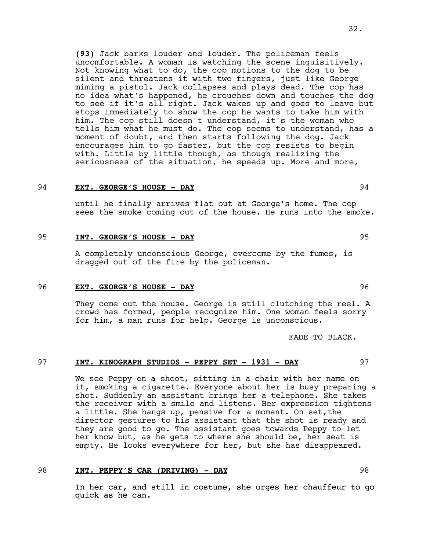**(93)** Jack barks louder and louder. The policeman feels uncomfortable. A woman is watching the scene inquisitively. Not knowing what to do, the cop motions to the dog to be silent and threatens it with two fingers, just like George miming a pistol. Jack collapses and plays dead. The cop has no idea what's happened, he crouches down and touches the dog to see if it's all right. Jack wakes up and goes to leave but stops immediately to show the cop he wants to take him with him. The cop still doesn't understand, it's the woman who tells him what he must do. The cop seems to understand, has a moment of doubt, and then starts following the dog. Jack encourages him to go faster, but the cop resists to begin with. Little by little though, as though realizing the seriousness of the situation, he speeds up. More and more,

#### 94 **EXT. GEORGE'S HOUSE - DAY** 94

until he finally arrives flat out at George's home. The cop sees the smoke coming out of the house. He runs into the smoke.

# 95 **INT. GEORGE'S HOUSE - DAY** 95

A completely unconscious George, overcome by the fumes, is dragged out of the fire by the policeman.

# 96 **EXT. GEORGE'S HOUSE - DAY** 96

They come out the house. George is still clutching the reel. A crowd has formed, people recognize him. One woman feels sorry for him, a man runs for help. George is unconscious.

FADE TO BLACK.

#### 97 **INT. KINOGRAPH STUDIOS - PEPPY SET - 1931 - DAY** 97

We see Peppy on a shoot, sitting in a chair with her name on it, smoking a cigarette. Everyone about her is busy preparing a shot. Suddenly an assistant brings her a telephone. She takes the receiver with a smile and listens. Her expression tightens a little. She hangs up, pensive for a moment. On set,the director gestures to his assistant that the shot is ready and they are good to go. The assistant goes towards Peppy to let her know but, as he gets to where she should be, her seat is empty. He looks everywhere for her, but she has disappeared.

# 98 **INT. PEPPY'S CAR (DRIVING) - DAY** 98

In her car, and still in costume, she urges her chauffeur to go quick as he can.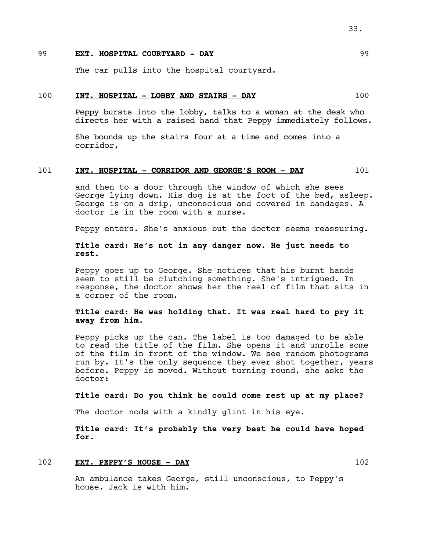# 99 **EXT. HOSPITAL COURTYARD - DAY** 99

The car pulls into the hospital courtyard.

#### 100 **INT. HOSPITAL - LOBBY AND STAIRS - DAY** 100

Peppy bursts into the lobby, talks to a woman at the desk who directs her with a raised hand that Peppy immediately follows.

She bounds up the stairs four at a time and comes into a corridor,

#### 101 **INT. HOSPITAL - CORRIDOR AND GEORGE'S ROOM - DAY** 101

and then to a door through the window of which she sees George lying down. His dog is at the foot of the bed, asleep. George is on a drip, unconscious and covered in bandages. A doctor is in the room with a nurse.

Peppy enters. She's anxious but the doctor seems reassuring.

# **Title card: He's not in any danger now. He just needs to rest.**

Peppy goes up to George. She notices that his burnt hands seem to still be clutching something. She's intrigued. In response, the doctor shows her the reel of film that sits in a corner of the room.

# **Title card: He was holding that. It was real hard to pry it away from him.**

Peppy picks up the can. The label is too damaged to be able to read the title of the film. She opens it and unrolls some of the film in front of the window. We see random photograms run by. It's the only sequence they ever shot together, years before. Peppy is moved. Without turning round, she asks the doctor:

**Title card: Do you think he could come rest up at my place?**

The doctor nods with a kindly glint in his eye.

**Title card: It's probably the very best he could have hoped for.**

#### 102 **EXT. PEPPY'S HOUSE - DAY** 102

An ambulance takes George, still unconscious, to Peppy's house. Jack is with him.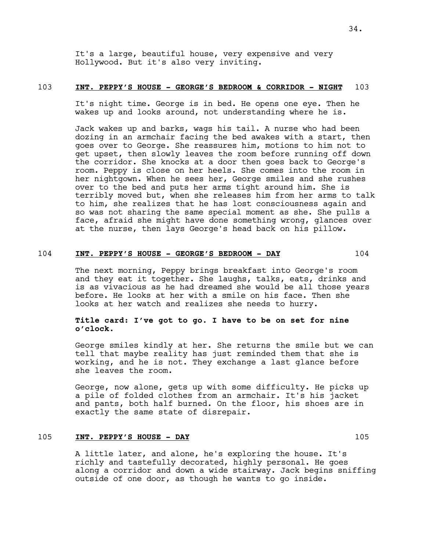It's a large, beautiful house, very expensive and very Hollywood. But it's also very inviting.

#### 103 **INT. PEPPY'S HOUSE - GEORGE'S BEDROOM & CORRIDOR - NIGHT** 103

It's night time. George is in bed. He opens one eye. Then he wakes up and looks around, not understanding where he is.

Jack wakes up and barks, wags his tail. A nurse who had been dozing in an armchair facing the bed awakes with a start, then goes over to George. She reassures him, motions to him not to get upset, then slowly leaves the room before running off down the corridor. She knocks at a door then goes back to George's room. Peppy is close on her heels. She comes into the room in her nightgown. When he sees her, George smiles and she rushes over to the bed and puts her arms tight around him. She is terribly moved but, when she releases him from her arms to talk to him, she realizes that he has lost consciousness again and so was not sharing the same special moment as she. She pulls a face, afraid she might have done something wrong, glances over at the nurse, then lays George's head back on his pillow.

# 104 **INT. PEPPY'S HOUSE - GEORGE'S BEDROOM - DAY** 104

The next morning, Peppy brings breakfast into George's room and they eat it together. She laughs, talks, eats, drinks and is as vivacious as he had dreamed she would be all those years before. He looks at her with a smile on his face. Then she looks at her watch and realizes she needs to hurry.

# **Title card: I've got to go. I have to be on set for nine o'clock.**

George smiles kindly at her. She returns the smile but we can tell that maybe reality has just reminded them that she is working, and he is not. They exchange a last glance before she leaves the room.

George, now alone, gets up with some difficulty. He picks up a pile of folded clothes from an armchair. It's his jacket and pants, both half burned. On the floor, his shoes are in exactly the same state of disrepair.

# 105 **INT. PEPPY'S HOUSE - DAY** 105

A little later, and alone, he's exploring the house. It's richly and tastefully decorated, highly personal. He goes along a corridor and down a wide stairway. Jack begins sniffing outside of one door, as though he wants to go inside.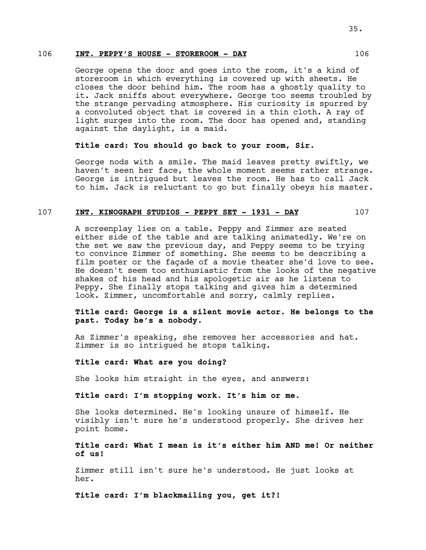# 106 **INT. PEPPY'S HOUSE - STOREROOM - DAY** 106

George opens the door and goes into the room, it's a kind of storeroom in which everything is covered up with sheets. He closes the door behind him. The room has a ghostly quality to it. Jack sniffs about everywhere. George too seems troubled by the strange pervading atmosphere. His curiosity is spurred by a convoluted object that is covered in a thin cloth. A ray of light surges into the room. The door has opened and, standing against the daylight, is a maid.

# **Title card: You should go back to your room, Sir.**

George nods with a smile. The maid leaves pretty swiftly, we haven't seen her face, the whole moment seems rather strange. George is intrigued but leaves the room. He has to call Jack to him. Jack is reluctant to go but finally obeys his master.

#### 107 **INT. KINOGRAPH STUDIOS - PEPPY SET - 1931 - DAY** 107

A screenplay lies on a table. Peppy and Zimmer are seated either side of the table and are talking animatedly. We're on the set we saw the previous day, and Peppy seems to be trying to convince Zimmer of something. She seems to be describing a film poster or the façade of a movie theater she'd love to see. He doesn't seem too enthusiastic from the looks of the negative shakes of his head and his apologetic air as he listens to Peppy. She finally stops talking and gives him a determined look. Zimmer, uncomfortable and sorry, calmly replies.

# **Title card: George is a silent movie actor. He belongs to the past. Today he's a nobody.**

As Zimmer's speaking, she removes her accessories and hat. Zimmer is so intrigued he stops talking.

#### **Title card: What are you doing?**

She looks him straight in the eyes, and answers:

#### **Title card: I'm stopping work. It's him or me.**

She looks determined. He's looking unsure of himself. He visibly isn't sure he's understood properly. She drives her point home.

# **Title card: What I mean is it's either him AND me! Or neither of us!**

Zimmer still isn't sure he's understood. He just looks at her.

**Title card: I'm blackmailing you, get it?!**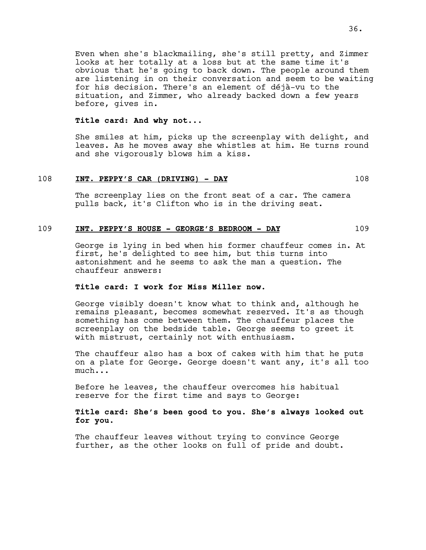Even when she's blackmailing, she's still pretty, and Zimmer looks at her totally at a loss but at the same time it's obvious that he's going to back down. The people around them are listening in on their conversation and seem to be waiting for his decision. There's an element of déjà-vu to the situation, and Zimmer, who already backed down a few years before, gives in.

#### **Title card: And why not...**

She smiles at him, picks up the screenplay with delight, and leaves. As he moves away she whistles at him. He turns round and she vigorously blows him a kiss.

#### 108 **INT. PEPPY'S CAR (DRIVING) - DAY** 108

The screenplay lies on the front seat of a car. The camera pulls back, it's Clifton who is in the driving seat.

#### 109 **INT. PEPPY'S HOUSE - GEORGE'S BEDROOM - DAY** 109

George is lying in bed when his former chauffeur comes in. At first, he's delighted to see him, but this turns into astonishment and he seems to ask the man a question. The chauffeur answers:

# **Title card: I work for Miss Miller now.**

George visibly doesn't know what to think and, although he remains pleasant, becomes somewhat reserved. It's as though something has come between them. The chauffeur places the screenplay on the bedside table. George seems to greet it with mistrust, certainly not with enthusiasm.

The chauffeur also has a box of cakes with him that he puts on a plate for George. George doesn't want any, it's all too much...

Before he leaves, the chauffeur overcomes his habitual reserve for the first time and says to George:

# **Title card: She's been good to you. She's always looked out for you.**

The chauffeur leaves without trying to convince George further, as the other looks on full of pride and doubt.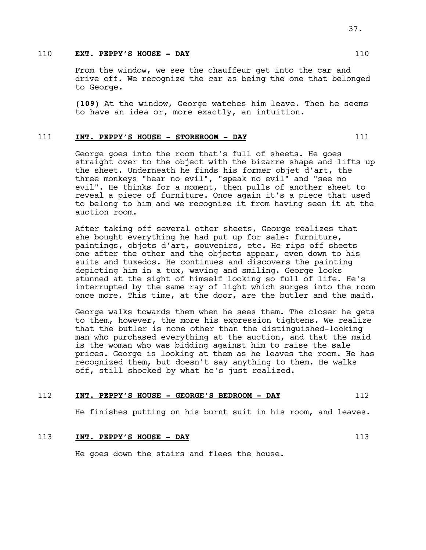#### 110 **EXT. PEPPY'S HOUSE - DAY** 110

From the window, we see the chauffeur get into the car and drive off. We recognize the car as being the one that belonged to George.

**(109)** At the window, George watches him leave. Then he seems to have an idea or, more exactly, an intuition.

# 111 **INT. PEPPY'S HOUSE - STOREROOM - DAY** 111

George goes into the room that's full of sheets. He goes straight over to the object with the bizarre shape and lifts up the sheet. Underneath he finds his former objet d'art, the three monkeys "hear no evil", "speak no evil" and "see no evil". He thinks for a moment, then pulls of another sheet to reveal a piece of furniture. Once again it's a piece that used to belong to him and we recognize it from having seen it at the auction room.

After taking off several other sheets, George realizes that she bought everything he had put up for sale: furniture, paintings, objets d'art, souvenirs, etc. He rips off sheets one after the other and the objects appear, even down to his suits and tuxedos. He continues and discovers the painting depicting him in a tux, waving and smiling. George looks stunned at the sight of himself looking so full of life. He's interrupted by the same ray of light which surges into the room once more. This time, at the door, are the butler and the maid.

George walks towards them when he sees them. The closer he gets to them, however, the more his expression tightens. We realize that the butler is none other than the distinguished-looking man who purchased everything at the auction, and that the maid is the woman who was bidding against him to raise the sale prices. George is looking at them as he leaves the room. He has recognized them, but doesn't say anything to them. He walks off, still shocked by what he's just realized.

#### 112 **INT. PEPPY'S HOUSE - GEORGE'S BEDROOM - DAY** 112

He finishes putting on his burnt suit in his room, and leaves.

# 113 **INT. PEPPY'S HOUSE - DAY** 113

He goes down the stairs and flees the house.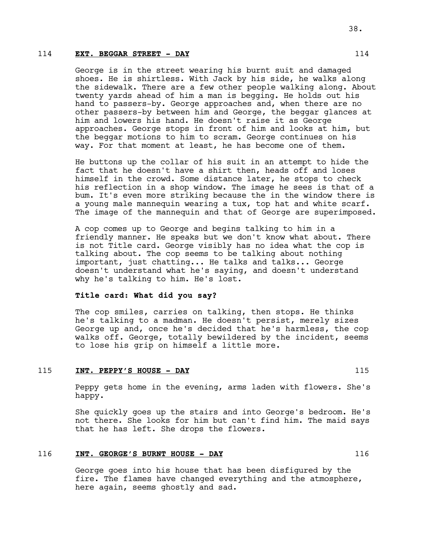#### 114 **EXT. BEGGAR STREET - DAY** 114

George is in the street wearing his burnt suit and damaged shoes. He is shirtless. With Jack by his side, he walks along the sidewalk. There are a few other people walking along. About twenty yards ahead of him a man is begging. He holds out his hand to passers-by. George approaches and, when there are no other passers-by between him and George, the beggar glances at him and lowers his hand. He doesn't raise it as George approaches. George stops in front of him and looks at him, but the beggar motions to him to scram. George continues on his way. For that moment at least, he has become one of them.

He buttons up the collar of his suit in an attempt to hide the fact that he doesn't have a shirt then, heads off and loses himself in the crowd. Some distance later, he stops to check his reflection in a shop window. The image he sees is that of a bum. It's even more striking because the in the window there is a young male mannequin wearing a tux, top hat and white scarf. The image of the mannequin and that of George are superimposed.

A cop comes up to George and begins talking to him in a friendly manner. He speaks but we don't know what about. There is not Title card. George visibly has no idea what the cop is talking about. The cop seems to be talking about nothing important, just chatting... He talks and talks... George doesn't understand what he's saying, and doesn't understand why he's talking to him. He's lost.

#### **Title card: What did you say?**

The cop smiles, carries on talking, then stops. He thinks he's talking to a madman. He doesn't persist, merely sizes George up and, once he's decided that he's harmless, the cop walks off. George, totally bewildered by the incident, seems to lose his grip on himself a little more.

#### 115 **INT. PEPPY'S HOUSE - DAY** 115

Peppy gets home in the evening, arms laden with flowers. She's happy.

She quickly goes up the stairs and into George's bedroom. He's not there. She looks for him but can't find him. The maid says that he has left. She drops the flowers.

# 116 **INT. GEORGE'S BURNT HOUSE - DAY** 116

George goes into his house that has been disfigured by the fire. The flames have changed everything and the atmosphere, here again, seems ghostly and sad.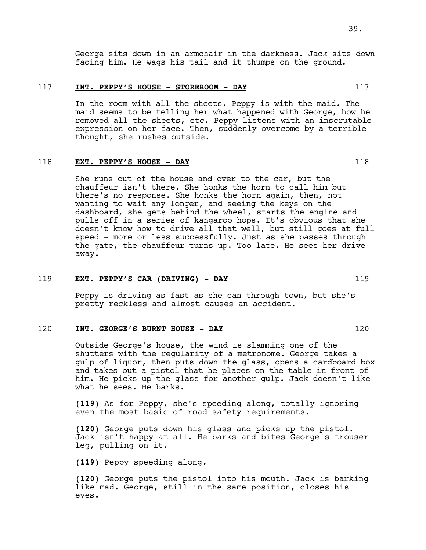George sits down in an armchair in the darkness. Jack sits down facing him. He wags his tail and it thumps on the ground.

#### 117 **INT. PEPPY'S HOUSE - STOREROOM - DAY** 117

In the room with all the sheets, Peppy is with the maid. The maid seems to be telling her what happened with George, how he removed all the sheets, etc. Peppy listens with an inscrutable expression on her face. Then, suddenly overcome by a terrible thought, she rushes outside.

#### 118 **EXT. PEPPY'S HOUSE - DAY** 118

She runs out of the house and over to the car, but the chauffeur isn't there. She honks the horn to call him but there's no response. She honks the horn again, then, not wanting to wait any longer, and seeing the keys on the dashboard, she gets behind the wheel, starts the engine and pulls off in a series of kangaroo hops. It's obvious that she doesn't know how to drive all that well, but still goes at full speed - more or less successfully. Just as she passes through the gate, the chauffeur turns up. Too late. He sees her drive away.

#### 119 **EXT. PEPPY'S CAR (DRIVING) - DAY** 119

Peppy is driving as fast as she can through town, but she's pretty reckless and almost causes an accident.

#### 120 **INT. GEORGE'S BURNT HOUSE - DAY** 120

Outside George's house, the wind is slamming one of the shutters with the regularity of a metronome. George takes a gulp of liquor, then puts down the glass, opens a cardboard box and takes out a pistol that he places on the table in front of him. He picks up the glass for another gulp. Jack doesn't like what he sees. He barks.

**(119)** As for Peppy, she's speeding along, totally ignoring even the most basic of road safety requirements.

**(120)** George puts down his glass and picks up the pistol. Jack isn't happy at all. He barks and bites George's trouser leg, pulling on it.

**(119)** Peppy speeding along.

**(120)** George puts the pistol into his mouth. Jack is barking like mad. George, still in the same position, closes his eyes.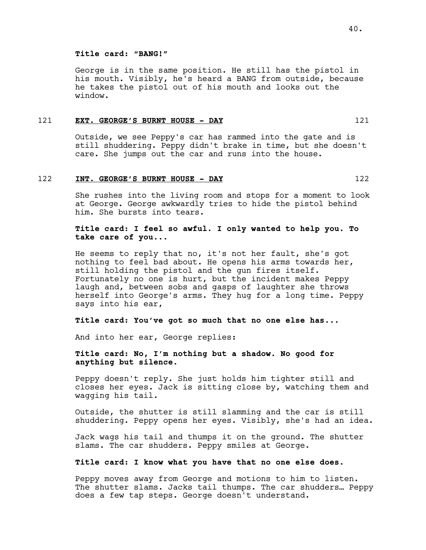#### **Title card: "BANG!"**

George is in the same position. He still has the pistol in his mouth. Visibly, he's heard a BANG from outside, because he takes the pistol out of his mouth and looks out the window.

#### 121 **EXT. GEORGE'S BURNT HOUSE - DAY** 121

Outside, we see Peppy's car has rammed into the gate and is still shuddering. Peppy didn't brake in time, but she doesn't care. She jumps out the car and runs into the house.

#### 122 **INT. GEORGE'S BURNT HOUSE - DAY** 122

She rushes into the living room and stops for a moment to look at George. George awkwardly tries to hide the pistol behind him. She bursts into tears.

# **Title card: I feel so awful. I only wanted to help you. To take care of you...**

He seems to reply that no, it's not her fault, she's got nothing to feel bad about. He opens his arms towards her, still holding the pistol and the gun fires itself. Fortunately no one is hurt, but the incident makes Peppy laugh and, between sobs and gasps of laughter she throws herself into George's arms. They hug for a long time. Peppy says into his ear,

# **Title card: You've got so much that no one else has...**

And into her ear, George replies:

# **Title card: No, I'm nothing but a shadow. No good for anything but silence.**

Peppy doesn't reply. She just holds him tighter still and closes her eyes. Jack is sitting close by, watching them and wagging his tail.

Outside, the shutter is still slamming and the car is still shuddering. Peppy opens her eyes. Visibly, she's had an idea.

Jack wags his tail and thumps it on the ground. The shutter slams. The car shudders. Peppy smiles at George.

# **Title card: I know what you have that no one else does.**

Peppy moves away from George and motions to him to listen. The shutter slams. Jacks tail thumps. The car shudders… Peppy does a few tap steps. George doesn't understand.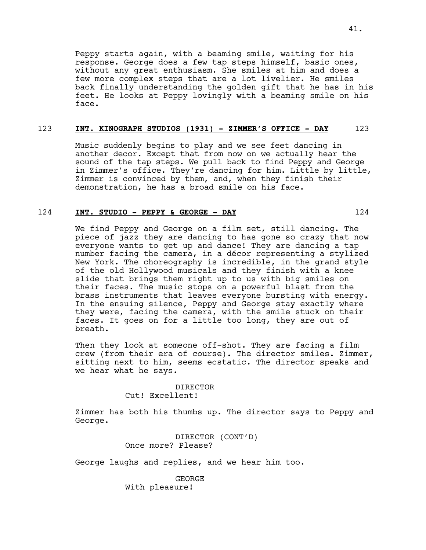Peppy starts again, with a beaming smile, waiting for his response. George does a few tap steps himself, basic ones, without any great enthusiasm. She smiles at him and does a few more complex steps that are a lot livelier. He smiles back finally understanding the golden gift that he has in his feet. He looks at Peppy lovingly with a beaming smile on his face.

# 123 **INT. KINOGRAPH STUDIOS (1931) - ZIMMER'S OFFICE - DAY** 123

Music suddenly begins to play and we see feet dancing in another decor. Except that from now on we actually hear the sound of the tap steps. We pull back to find Peppy and George in Zimmer's office. They're dancing for him. Little by little, Zimmer is convinced by them, and, when they finish their demonstration, he has a broad smile on his face.

# 124 **INT. STUDIO - PEPPY & GEORGE - DAY** 124

We find Peppy and George on a film set, still dancing. The piece of jazz they are dancing to has gone so crazy that now everyone wants to get up and dance! They are dancing a tap number facing the camera, in a décor representing a stylized New York. The choreography is incredible, in the grand style of the old Hollywood musicals and they finish with a knee slide that brings them right up to us with big smiles on their faces. The music stops on a powerful blast from the brass instruments that leaves everyone bursting with energy. In the ensuing silence, Peppy and George stay exactly where they were, facing the camera, with the smile stuck on their faces. It goes on for a little too long, they are out of breath.

Then they look at someone off-shot. They are facing a film crew (from their era of course). The director smiles. Zimmer, sitting next to him, seems ecstatic. The director speaks and we hear what he says.

> DIRECTOR Cut! Excellent!

Zimmer has both his thumbs up. The director says to Peppy and George.

> DIRECTOR (CONT'D) Once more? Please?

George laughs and replies, and we hear him too.

**GEORGE** With pleasure!